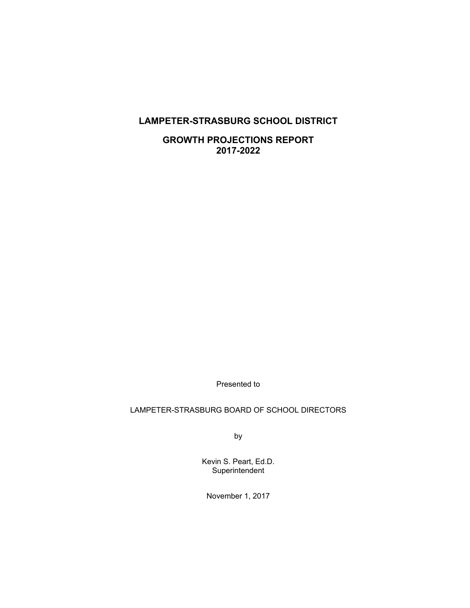# **LAMPETER-STRASBURG SCHOOL DISTRICT**

**GROWTH PROJECTIONS REPORT 2017-2022** 

Presented to

## LAMPETER-STRASBURG BOARD OF SCHOOL DIRECTORS

by

Kevin S. Peart, Ed.D. **Superintendent** 

November 1, 2017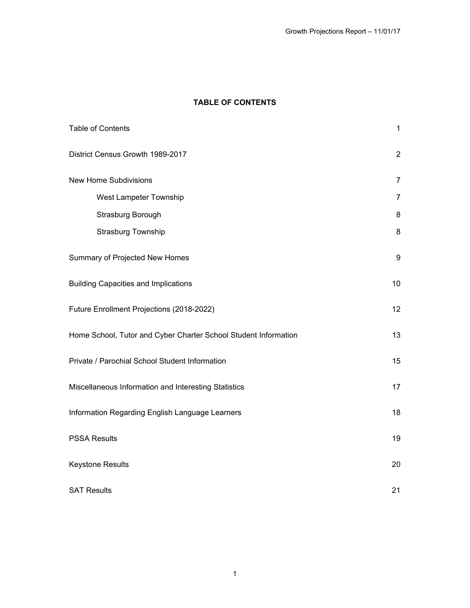# **TABLE OF CONTENTS**

| Table of Contents                                               | $\mathbf{1}$   |
|-----------------------------------------------------------------|----------------|
| District Census Growth 1989-2017                                | $\overline{2}$ |
| <b>New Home Subdivisions</b>                                    | $\overline{7}$ |
| West Lampeter Township                                          | $\overline{7}$ |
| Strasburg Borough                                               | 8              |
| Strasburg Township                                              | 8              |
| Summary of Projected New Homes                                  | 9              |
| <b>Building Capacities and Implications</b>                     | 10             |
| Future Enrollment Projections (2018-2022)                       | 12             |
| Home School, Tutor and Cyber Charter School Student Information | 13             |
| Private / Parochial School Student Information                  | 15             |
| Miscellaneous Information and Interesting Statistics            | 17             |
| Information Regarding English Language Learners                 | 18             |
| <b>PSSA Results</b>                                             | 19             |
| Keystone Results                                                | 20             |
| <b>SAT Results</b>                                              | 21             |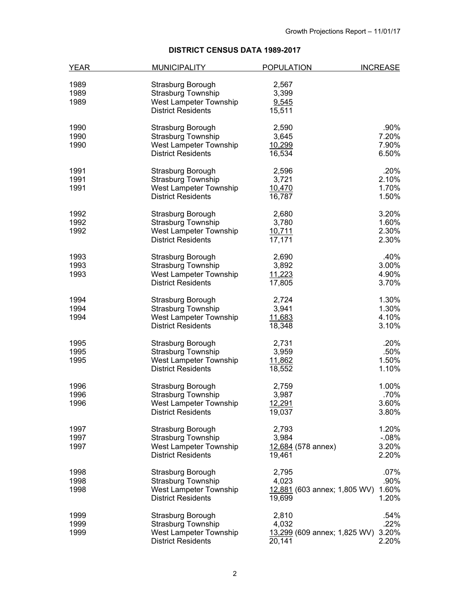# **DISTRICT CENSUS DATA 1989-2017**

| <b>YEAR</b> | <b>MUNICIPALITY</b>       | <b>POPULATION</b>                   | <b>INCREASE</b> |
|-------------|---------------------------|-------------------------------------|-----------------|
|             |                           |                                     |                 |
| 1989        | Strasburg Borough         | 2,567                               |                 |
| 1989        | <b>Strasburg Township</b> | 3,399                               |                 |
| 1989        | West Lampeter Township    | 9,545                               |                 |
|             | <b>District Residents</b> | 15,511                              |                 |
| 1990        | Strasburg Borough         | 2,590                               | .90%            |
| 1990        | <b>Strasburg Township</b> | 3,645                               | 7.20%           |
| 1990        | West Lampeter Township    | 10,299                              | 7.90%           |
|             | <b>District Residents</b> | 16,534                              | 6.50%           |
|             |                           |                                     |                 |
| 1991        | Strasburg Borough         | 2,596                               | .20%            |
| 1991        | <b>Strasburg Township</b> | 3,721                               | 2.10%           |
| 1991        | West Lampeter Township    | 10,470                              | 1.70%           |
|             | <b>District Residents</b> | 16,787                              | 1.50%           |
| 1992        | Strasburg Borough         | 2,680                               | 3.20%           |
| 1992        | <b>Strasburg Township</b> | 3,780                               | 1.60%           |
| 1992        | West Lampeter Township    | 10,711                              | 2.30%           |
|             | <b>District Residents</b> | 17,171                              | 2.30%           |
| 1993        |                           |                                     | .40%            |
|             | Strasburg Borough         | 2,690                               |                 |
| 1993        | Strasburg Township        | 3,892                               | 3.00%           |
| 1993        | West Lampeter Township    | 11,223                              | 4.90%           |
|             | <b>District Residents</b> | 17,805                              | 3.70%           |
| 1994        | Strasburg Borough         | 2,724                               | 1.30%           |
| 1994        | <b>Strasburg Township</b> | 3,941                               | 1.30%           |
| 1994        | West Lampeter Township    | 11,683                              | 4.10%           |
|             | <b>District Residents</b> | 18,348                              | 3.10%           |
| 1995        | Strasburg Borough         | 2,731                               | .20%            |
| 1995        | Strasburg Township        | 3,959                               | .50%            |
| 1995        | West Lampeter Township    | 11,862                              | 1.50%           |
|             | <b>District Residents</b> |                                     | 1.10%           |
|             |                           | 18,552                              |                 |
| 1996        | Strasburg Borough         | 2,759                               | 1.00%           |
| 1996        | Strasburg Township        | 3,987                               | .70%            |
| 1996        | West Lampeter Township    | 12,291                              | 3.60%           |
|             | <b>District Residents</b> | 19,037                              | 3.80%           |
| 1997        | Strasburg Borough         | 2,793                               | 1.20%           |
| 1997        | Strasburg Township        | 3,984                               | $-08%$          |
| 1997        | West Lampeter Township    | 12,684 (578 annex)                  | 3.20%           |
|             |                           |                                     |                 |
|             | <b>District Residents</b> | 19,461                              | 2.20%           |
| 1998        | Strasburg Borough         | 2,795                               | .07%            |
| 1998        | Strasburg Township        | 4,023                               | .90%            |
| 1998        | West Lampeter Township    | 12,881 (603 annex; 1,805 WV)        | 1.60%           |
|             | <b>District Residents</b> | 19,699                              | 1.20%           |
| 1999        | Strasburg Borough         | 2,810                               | .54%            |
| 1999        | Strasburg Township        | 4,032                               | .22%            |
| 1999        | West Lampeter Township    |                                     | 3.20%           |
|             |                           | <u>13,299</u> (609 annex; 1,825 WV) |                 |
|             | <b>District Residents</b> | 20,141                              | 2.20%           |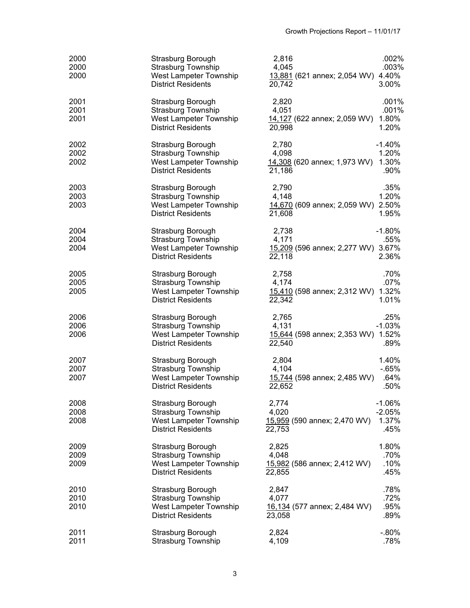| 2000<br>2000<br>2000 | Strasburg Borough<br><b>Strasburg Township</b><br>West Lampeter Township<br><b>District Residents</b> | .002%<br>2,816<br>.003%<br>4,045<br>13,881 (621 annex; 2,054 WV) 4.40%<br>20,742<br>3.00%         |  |
|----------------------|-------------------------------------------------------------------------------------------------------|---------------------------------------------------------------------------------------------------|--|
| 2001<br>2001<br>2001 | Strasburg Borough<br><b>Strasburg Township</b><br>West Lampeter Township<br><b>District Residents</b> | 2,820<br>.001%<br>4,051<br>.001%<br>14,127 (622 annex; 2,059 WV)<br>1.80%<br>20,998<br>1.20%      |  |
| 2002<br>2002<br>2002 | Strasburg Borough<br><b>Strasburg Township</b><br>West Lampeter Township<br><b>District Residents</b> | 2,780<br>$-1.40%$<br>4,098<br>1.20%<br>14,308 (620 annex; 1,973 WV) 1.30%<br>21,186<br>.90%       |  |
| 2003<br>2003<br>2003 | Strasburg Borough<br><b>Strasburg Township</b><br>West Lampeter Township<br><b>District Residents</b> | .35%<br>2,790<br>1.20%<br>4,148<br>14,670 (609 annex; 2,059 WV) 2.50%<br>1.95%<br>21,608          |  |
| 2004<br>2004<br>2004 | Strasburg Borough<br><b>Strasburg Township</b><br>West Lampeter Township<br><b>District Residents</b> | 2,738<br>$-1.80%$<br>4,171<br>.55%<br>15,209 (596 annex; 2,277 WV) 3.67%<br>22,118<br>2.36%       |  |
| 2005<br>2005<br>2005 | Strasburg Borough<br><b>Strasburg Township</b><br>West Lampeter Township<br><b>District Residents</b> | .70%<br>2,758<br>.07%<br>4,174<br>15,410 (598 annex; 2,312 WV) 1.32%<br>1.01%<br>22,342           |  |
| 2006<br>2006<br>2006 | Strasburg Borough<br><b>Strasburg Township</b><br>West Lampeter Township<br><b>District Residents</b> | 2,765<br>.25%<br>$-1.03%$<br>4,131<br>15,644 (598 annex; 2,353 WV) 1.52%<br>22,540<br>.89%        |  |
| 2007<br>2007<br>2007 | Strasburg Borough<br><b>Strasburg Township</b><br>West Lampeter Township<br><b>District Residents</b> | 1.40%<br>2,804<br>$-65%$<br>4,104<br>15,744 (598 annex; 2,485 WV)<br>.64%<br>.50%<br>22,652       |  |
| 2008<br>2008<br>2008 | Strasburg Borough<br><b>Strasburg Township</b><br>West Lampeter Township<br><b>District Residents</b> | $-1.06%$<br>2,774<br>4,020<br>$-2.05%$<br>1.37%<br>15,959 (590 annex; 2,470 WV)<br>22,753<br>.45% |  |
| 2009<br>2009<br>2009 | Strasburg Borough<br><b>Strasburg Township</b><br>West Lampeter Township<br><b>District Residents</b> | 2,825<br>1.80%<br>.70%<br>4,048<br>.10%<br>15,982 (586 annex; 2,412 WV)<br>.45%<br>22,855         |  |
| 2010<br>2010<br>2010 | Strasburg Borough<br>Strasburg Township<br>West Lampeter Township<br><b>District Residents</b>        | .78%<br>2,847<br>.72%<br>4,077<br>.95%<br>16,134 (577 annex; 2,484 WV)<br>.89%<br>23,058          |  |
| 2011<br>2011         | Strasburg Borough<br><b>Strasburg Township</b>                                                        | 2,824<br>$-0.80\%$<br>4,109<br>.78%                                                               |  |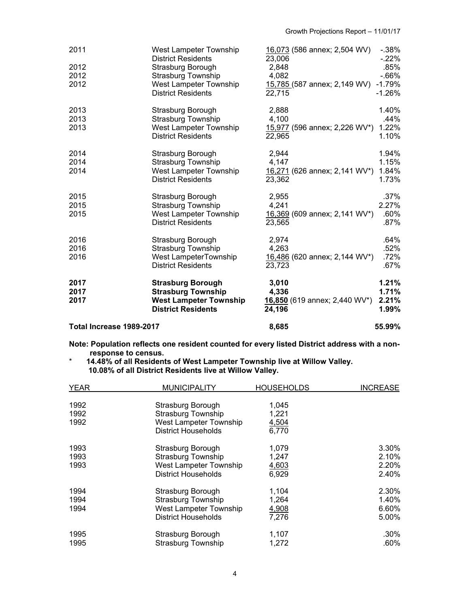| 2011                     | <b>West Lampeter Township</b><br><b>District Residents</b> | 16,073 (586 annex; 2,504 WV)<br>23,006  | $-0.38\%$<br>$-22\%$ |
|--------------------------|------------------------------------------------------------|-----------------------------------------|----------------------|
| 2012                     | Strasburg Borough                                          | 2,848                                   | .85%                 |
| 2012                     | <b>Strasburg Township</b>                                  | 4,082                                   | $-0.66%$             |
| 2012                     | West Lampeter Township<br><b>District Residents</b>        | 15,785 (587 annex; 2,149 WV)<br>22,715  | $-1.79%$<br>$-1.26%$ |
| 2013                     | Strasburg Borough                                          | 2,888                                   | 1.40%                |
| 2013                     | <b>Strasburg Township</b>                                  | 4,100                                   | .44%                 |
| 2013                     | West Lampeter Township<br><b>District Residents</b>        | 15,977 (596 annex; 2,226 WV*)<br>22,965 | 1.22%<br>1.10%       |
| 2014                     | Strasburg Borough                                          | 2,944                                   | 1.94%                |
| 2014                     | <b>Strasburg Township</b>                                  | 4,147                                   | 1.15%                |
| 2014                     | West Lampeter Township                                     | 16,271 (626 annex; 2,141 WV*)           | 1.84%                |
|                          | <b>District Residents</b>                                  | 23,362                                  | 1.73%                |
| 2015                     | Strasburg Borough                                          | 2,955                                   | .37%                 |
| 2015                     | <b>Strasburg Township</b>                                  | 4,241                                   | 2.27%                |
| 2015                     | West Lampeter Township                                     | 16,369 (609 annex; 2,141 WV*)           | .60%                 |
|                          | <b>District Residents</b>                                  | 23,565                                  | .87%                 |
| 2016                     | Strasburg Borough                                          | 2,974                                   | .64%                 |
| 2016                     | Strasburg Township                                         | 4,263                                   | .52%                 |
| 2016                     | West LampeterTownship                                      | 16,486 (620 annex; 2,144 WV*)           | .72%                 |
|                          | <b>District Residents</b>                                  | 23,723                                  | .67%                 |
| 2017                     | <b>Strasburg Borough</b>                                   | 3,010                                   | 1.21%                |
| 2017                     | <b>Strasburg Township</b>                                  | 4,336                                   | 1.71%                |
| 2017                     | <b>West Lampeter Township</b>                              | 16,850 (619 annex; 2,440 WV*)           | 2.21%                |
|                          | <b>District Residents</b>                                  | 24,196                                  | 1.99%                |
| Total Increase 1989-2017 |                                                            | 8,685                                   | 55.99%               |

**Note: Population reflects one resident counted for every listed District address with a nonresponse to census.** 

#### \* **14.48% of all Residents of West Lampeter Township live at Willow Valley. 10.08% of all District Residents live at Willow Valley.**

| <b>YEAR</b>          | <b>MUNICIPALITY</b>                                                                                    | <b>HOUSEHOLDS</b>                | <b>INCREASE</b>                  |
|----------------------|--------------------------------------------------------------------------------------------------------|----------------------------------|----------------------------------|
| 1992<br>1992<br>1992 | Strasburg Borough<br><b>Strasburg Township</b><br>West Lampeter Township<br>District Households        | 1,045<br>1,221<br>4,504<br>6,770 |                                  |
| 1993<br>1993<br>1993 | Strasburg Borough<br>Strasburg Township<br>West Lampeter Township<br><b>District Households</b>        | 1,079<br>1,247<br>4,603<br>6,929 | 3.30%<br>2.10%<br>2.20%<br>2.40% |
| 1994<br>1994<br>1994 | Strasburg Borough<br><b>Strasburg Township</b><br>West Lampeter Township<br><b>District Households</b> | 1,104<br>1,264<br>4,908<br>7.276 | 2.30%<br>1.40%<br>6.60%<br>5.00% |
| 1995<br>1995         | Strasburg Borough<br>Strasburg Township                                                                | 1,107<br>1,272                   | .30%<br>.60%                     |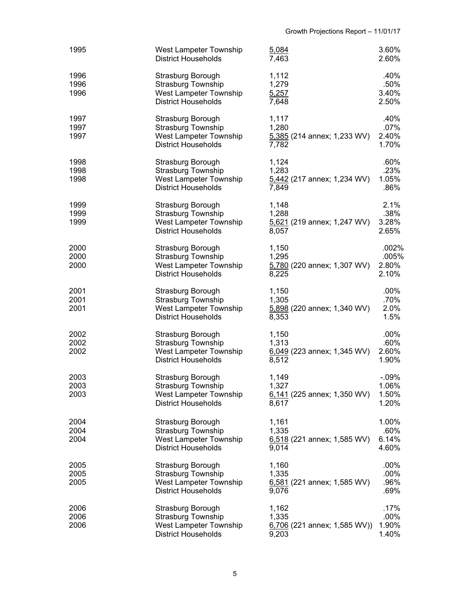| 1995                 | West Lampeter Township<br><b>District Households</b>                                                   | 5,084<br>7,463                                            | 3.60%<br>2.60%                      |
|----------------------|--------------------------------------------------------------------------------------------------------|-----------------------------------------------------------|-------------------------------------|
| 1996<br>1996<br>1996 | Strasburg Borough<br><b>Strasburg Township</b><br>West Lampeter Township<br><b>District Households</b> | 1,112<br>1,279<br>5,257<br>7,648                          | .40%<br>.50%<br>3.40%<br>2.50%      |
| 1997<br>1997<br>1997 | Strasburg Borough<br><b>Strasburg Township</b><br>West Lampeter Township<br><b>District Households</b> | 1,117<br>1,280<br>5,385 (214 annex; 1,233 WV)<br>7,782    | .40%<br>.07%<br>2.40%<br>1.70%      |
| 1998<br>1998<br>1998 | Strasburg Borough<br><b>Strasburg Township</b><br>West Lampeter Township<br><b>District Households</b> | 1,124<br>1,283<br>5,442 (217 annex; 1,234 WV)<br>7,849    | .60%<br>.23%<br>1.05%<br>.86%       |
| 1999<br>1999<br>1999 | Strasburg Borough<br><b>Strasburg Township</b><br>West Lampeter Township<br><b>District Households</b> | 1,148<br>1,288<br>5,621 (219 annex; 1,247 WV)<br>8,057    | 2.1%<br>.38%<br>3.28%<br>2.65%      |
| 2000<br>2000<br>2000 | Strasburg Borough<br><b>Strasburg Township</b><br>West Lampeter Township<br><b>District Households</b> | 1,150<br>1,295<br>5,780 (220 annex; 1,307 WV)<br>8,225    | .002%<br>.005%<br>2.80%<br>2.10%    |
| 2001<br>2001<br>2001 | Strasburg Borough<br><b>Strasburg Township</b><br>West Lampeter Township<br><b>District Households</b> | 1,150<br>1,305<br>5,898 (220 annex; 1,340 WV)<br>8,353    | $.00\%$<br>.70%<br>2.0%<br>1.5%     |
| 2002<br>2002<br>2002 | Strasburg Borough<br>Strasburg Township<br>West Lampeter Township<br><b>District Households</b>        | 1,150<br>1,313<br>$6,049$ (223 annex; 1,345 WV)<br>8,512  | .00%<br>.60%<br>2.60%<br>1.90%      |
| 2003<br>2003<br>2003 | Strasburg Borough<br>Strasburg Township<br>West Lampeter Township<br><b>District Households</b>        | 1,149<br>1,327<br>$6,141$ (225 annex; 1,350 WV)<br>8,617  | $-0.09%$<br>1.06%<br>1.50%<br>1.20% |
| 2004<br>2004<br>2004 | Strasburg Borough<br><b>Strasburg Township</b><br>West Lampeter Township<br><b>District Households</b> | 1,161<br>1,335<br>6,518 (221 annex; 1,585 WV)<br>9,014    | 1.00%<br>.60%<br>6.14%<br>4.60%     |
| 2005<br>2005<br>2005 | Strasburg Borough<br><b>Strasburg Township</b><br>West Lampeter Township<br><b>District Households</b> | 1,160<br>1,335<br>6,581 (221 annex; 1,585 WV)<br>9,076    | .00%<br>.00%<br>.96%<br>.69%        |
| 2006<br>2006<br>2006 | Strasburg Borough<br><b>Strasburg Township</b><br>West Lampeter Township<br><b>District Households</b> | 1,162<br>1,335<br>$6,706$ (221 annex; 1,585 WV))<br>9,203 | .17%<br>.00%<br>1.90%<br>1.40%      |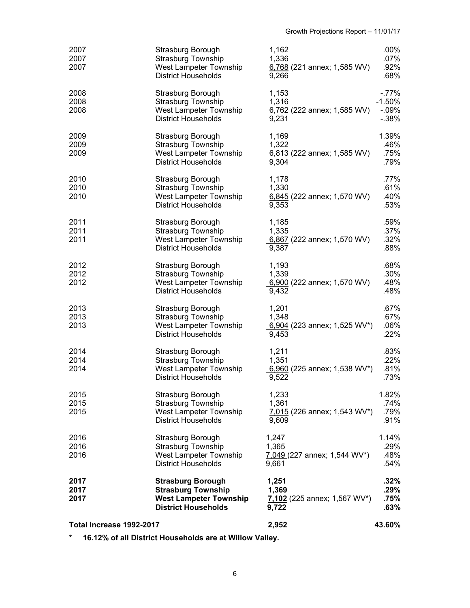| Total Increase 1992-2017 |                                                                                                                      | 2,952                                                    | 43.60%                                       |
|--------------------------|----------------------------------------------------------------------------------------------------------------------|----------------------------------------------------------|----------------------------------------------|
| 2017<br>2017<br>2017     | <b>Strasburg Borough</b><br><b>Strasburg Township</b><br><b>West Lampeter Township</b><br><b>District Households</b> | 1,251<br>1,369<br>7,102 (225 annex; 1,567 WV*)<br>9,722  | .32%<br>.29%<br>.75%<br>.63%                 |
| 2016<br>2016<br>2016     | Strasburg Borough<br><b>Strasburg Township</b><br>West Lampeter Township<br><b>District Households</b>               | 1,247<br>1,365<br>7,049 (227 annex; 1,544 WV*)<br>9,661  | 1.14%<br>.29%<br>.48%<br>.54%                |
| 2015<br>2015<br>2015     | Strasburg Borough<br><b>Strasburg Township</b><br>West Lampeter Township<br><b>District Households</b>               | 1,233<br>1,361<br>7,015 (226 annex; 1,543 WV*)<br>9,609  | 1.82%<br>.74%<br>.79%<br>.91%                |
| 2014<br>2014<br>2014     | Strasburg Borough<br>Strasburg Township<br>West Lampeter Township<br><b>District Households</b>                      | 1,211<br>1,351<br>6,960 (225 annex; 1,538 WV*)<br>9,522  | .83%<br>.22%<br>.81%<br>.73%                 |
| 2013<br>2013<br>2013     | Strasburg Borough<br><b>Strasburg Township</b><br>West Lampeter Township<br><b>District Households</b>               | 1,201<br>1,348<br>6,904 (223 annex; 1,525 WV*)<br>9,453  | .67%<br>.67%<br>.06%<br>.22%                 |
| 2012<br>2012<br>2012     | Strasburg Borough<br>Strasburg Township<br>West Lampeter Township<br><b>District Households</b>                      | 1,193<br>1,339<br>6,900 (222 annex; 1,570 WV)<br>9,432   | .68%<br>.30%<br>.48%<br>.48%                 |
| 2011<br>2011<br>2011     | Strasburg Borough<br><b>Strasburg Township</b><br>West Lampeter Township<br><b>District Households</b>               | 1,185<br>1,335<br>6,867 (222 annex; 1,570 WV)<br>9,387   | .59%<br>.37%<br>.32%<br>.88%                 |
| 2010<br>2010<br>2010     | Strasburg Borough<br><b>Strasburg Township</b><br>West Lampeter Township<br><b>District Households</b>               | 1,178<br>1,330<br>$6,845$ (222 annex; 1,570 WV)<br>9,353 | .77%<br>.61%<br>.40%<br>.53%                 |
| 2009<br>2009<br>2009     | Strasburg Borough<br><b>Strasburg Township</b><br>West Lampeter Township<br><b>District Households</b>               | 1,169<br>1,322<br>6,813 (222 annex; 1,585 WV)<br>9,304   | 1.39%<br>.46%<br>.75%<br>.79%                |
| 2008<br>2008<br>2008     | Strasburg Borough<br>Strasburg Township<br>West Lampeter Township<br><b>District Households</b>                      | 1,153<br>1,316<br>$6,762$ (222 annex; 1,585 WV)<br>9,231 | $-.77\%$<br>$-1.50%$<br>$-0.09%$<br>$-0.38%$ |
| 2007<br>2007<br>2007     | Strasburg Borough<br><b>Strasburg Township</b><br>West Lampeter Township<br><b>District Households</b>               | 1,162<br>1,336<br>6,768 (221 annex; 1,585 WV)<br>9,266   | $.00\%$<br>$.07\%$<br>.92%<br>.68%           |

**\* 16.12% of all District Households are at Willow Valley.**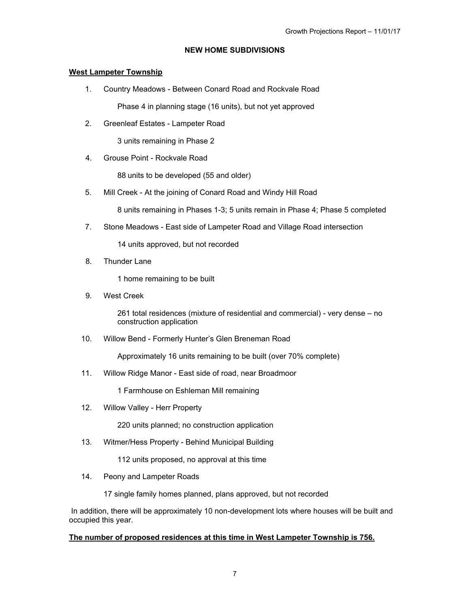## **NEW HOME SUBDIVISIONS**

## **West Lampeter Township**

- 1. Country Meadows Between Conard Road and Rockvale Road Phase 4 in planning stage (16 units), but not yet approved
- 2. Greenleaf Estates Lampeter Road

3 units remaining in Phase 2

4. Grouse Point - Rockvale Road

88 units to be developed (55 and older)

5. Mill Creek - At the joining of Conard Road and Windy Hill Road

8 units remaining in Phases 1-3; 5 units remain in Phase 4; Phase 5 completed

7. Stone Meadows - East side of Lampeter Road and Village Road intersection

14 units approved, but not recorded

8. Thunder Lane

1 home remaining to be built

9. West Creek

261 total residences (mixture of residential and commercial) - very dense – no construction application

10. Willow Bend - Formerly Hunter's Glen Breneman Road

Approximately 16 units remaining to be built (over 70% complete)

11. Willow Ridge Manor - East side of road, near Broadmoor

1 Farmhouse on Eshleman Mill remaining

12. Willow Valley - Herr Property

220 units planned; no construction application

13. Witmer/Hess Property - Behind Municipal Building

112 units proposed, no approval at this time

14. Peony and Lampeter Roads

17 single family homes planned, plans approved, but not recorded

 In addition, there will be approximately 10 non-development lots where houses will be built and occupied this year.

## **The number of proposed residences at this time in West Lampeter Township is 756.**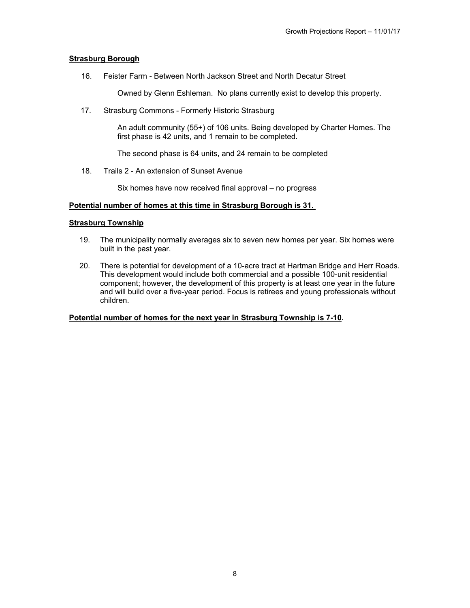## **Strasburg Borough**

16. Feister Farm - Between North Jackson Street and North Decatur Street

Owned by Glenn Eshleman. No plans currently exist to develop this property.

17. Strasburg Commons - Formerly Historic Strasburg

An adult community (55+) of 106 units. Being developed by Charter Homes. The first phase is 42 units, and 1 remain to be completed.

The second phase is 64 units, and 24 remain to be completed

18. Trails 2 - An extension of Sunset Avenue

Six homes have now received final approval – no progress

#### **Potential number of homes at this time in Strasburg Borough is 31.**

#### **Strasburg Township**

- 19. The municipality normally averages six to seven new homes per year. Six homes were built in the past year.
- 20. There is potential for development of a 10-acre tract at Hartman Bridge and Herr Roads. This development would include both commercial and a possible 100-unit residential component; however, the development of this property is at least one year in the future and will build over a five-year period. Focus is retirees and young professionals without children.

## **Potential number of homes for the next year in Strasburg Township is 7-10.**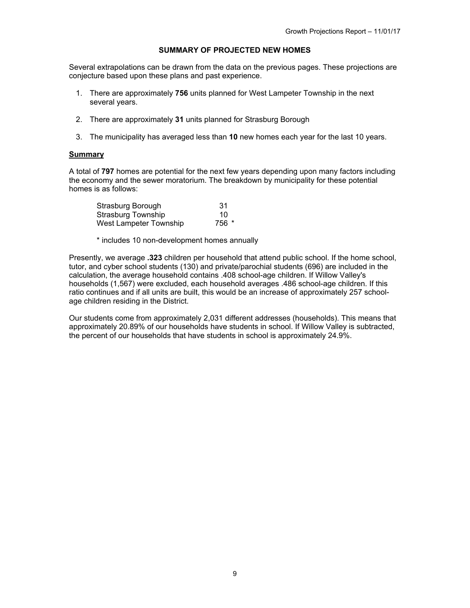## **SUMMARY OF PROJECTED NEW HOMES**

Several extrapolations can be drawn from the data on the previous pages. These projections are conjecture based upon these plans and past experience.

- 1. There are approximately **756** units planned for West Lampeter Township in the next several years.
- 2. There are approximately **31** units planned for Strasburg Borough
- 3. The municipality has averaged less than **10** new homes each year for the last 10 years.

#### **Summary**

A total of **797** homes are potential for the next few years depending upon many factors including the economy and the sewer moratorium. The breakdown by municipality for these potential homes is as follows:

| Strasburg Borough      | 31    |
|------------------------|-------|
| Strasburg Township     | 10    |
| West Lampeter Township | 756 * |

\* includes 10 non-development homes annually

Presently, we average **.323** children per household that attend public school. If the home school, tutor, and cyber school students (130) and private/parochial students (696) are included in the calculation, the average household contains .408 school-age children. If Willow Valley's households (1,567) were excluded, each household averages .486 school-age children. If this ratio continues and if all units are built, this would be an increase of approximately 257 schoolage children residing in the District.

Our students come from approximately 2,031 different addresses (households). This means that approximately 20.89% of our households have students in school. If Willow Valley is subtracted, the percent of our households that have students in school is approximately 24.9%.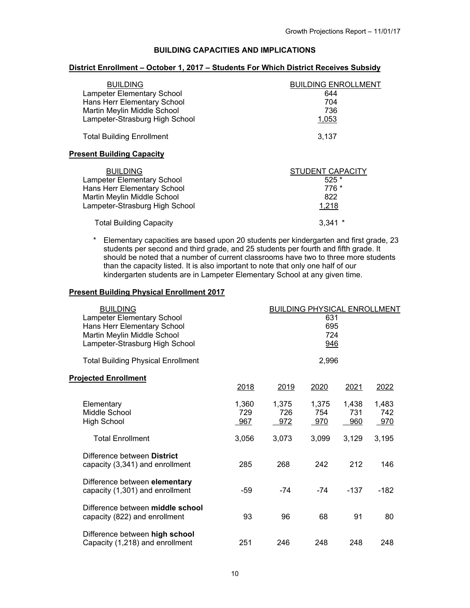## **BUILDING CAPACITIES AND IMPLICATIONS**

## **District Enrollment – October 1, 2017 – Students For Which District Receives Subsidy**

| <b>BUILDING</b><br><b>Lampeter Elementary School</b><br>Hans Herr Elementary School<br>Martin Meylin Middle School<br>Lampeter-Strasburg High School | <b>BUILDING ENROLLMENT</b><br>644<br>704<br>736<br>1,053 |
|------------------------------------------------------------------------------------------------------------------------------------------------------|----------------------------------------------------------|
| <b>Total Building Enrollment</b>                                                                                                                     | 3.137                                                    |
| <b>Present Building Capacity</b>                                                                                                                     |                                                          |
| <b>BUILDING</b><br><b>Lampeter Elementary School</b><br>Hans Herr Elementary School<br>Martin Meylin Middle School<br>Lampeter-Strasburg High School | STUDENT CAPACITY<br>$525*$<br>776 *<br>822<br>1,218      |
| <b>Total Building Capacity</b>                                                                                                                       | 3.341                                                    |

\* Elementary capacities are based upon 20 students per kindergarten and first grade, 23 students per second and third grade, and 25 students per fourth and fifth grade. It should be noted that a number of current classrooms have two to three more students than the capacity listed. It is also important to note that only one half of our kindergarten students are in Lampeter Elementary School at any given time.

#### **Present Building Physical Enrollment 2017**

| <b>BUILDING</b><br>Lampeter Elementary School<br>Hans Herr Elementary School<br>Martin Meylin Middle School<br>Lampeter-Strasburg High School | <b>BUILDING PHYSICAL ENROLLMENT</b><br>631<br>695<br>724<br>946 |                     |                     |                     |                     |  |
|-----------------------------------------------------------------------------------------------------------------------------------------------|-----------------------------------------------------------------|---------------------|---------------------|---------------------|---------------------|--|
| <b>Total Building Physical Enrollment</b>                                                                                                     |                                                                 |                     | 2,996               |                     |                     |  |
| <b>Projected Enrollment</b>                                                                                                                   | 2018                                                            | 2019                | 2020                | 2021                | 2022                |  |
| Elementary<br>Middle School<br><b>High School</b>                                                                                             | 1,360<br>729<br>967                                             | 1,375<br>726<br>972 | 1,375<br>754<br>970 | 1,438<br>731<br>960 | 1,483<br>742<br>970 |  |
| <b>Total Enrollment</b>                                                                                                                       | 3,056                                                           | 3,073               | 3,099               | 3,129               | 3,195               |  |
| Difference between District<br>capacity (3,341) and enrollment                                                                                | 285                                                             | 268                 | 242                 | 212                 | 146                 |  |
| Difference between elementary<br>capacity (1,301) and enrollment                                                                              | -59                                                             | $-74$               | -74                 | $-137$              | $-182$              |  |
| Difference between middle school<br>capacity (822) and enrollment                                                                             | 93                                                              | 96                  | 68                  | 91                  | 80                  |  |
| Difference between high school<br>Capacity (1,218) and enrollment                                                                             | 251                                                             | 246                 | 248                 | 248                 | 248                 |  |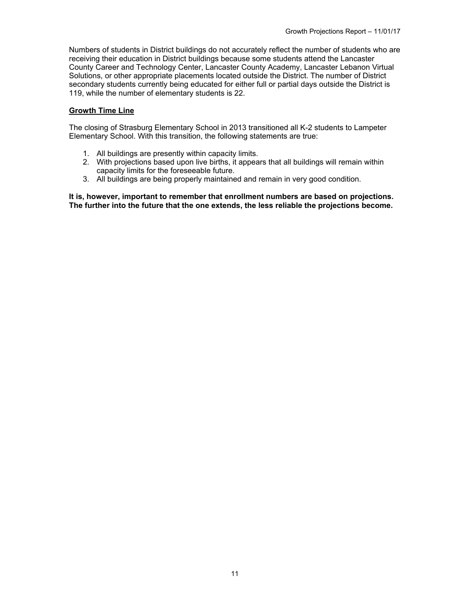Numbers of students in District buildings do not accurately reflect the number of students who are receiving their education in District buildings because some students attend the Lancaster County Career and Technology Center, Lancaster County Academy, Lancaster Lebanon Virtual Solutions, or other appropriate placements located outside the District. The number of District secondary students currently being educated for either full or partial days outside the District is 119, while the number of elementary students is 22.

## **Growth Time Line**

The closing of Strasburg Elementary School in 2013 transitioned all K-2 students to Lampeter Elementary School. With this transition, the following statements are true:

- 1. All buildings are presently within capacity limits.
- 2. With projections based upon live births, it appears that all buildings will remain within capacity limits for the foreseeable future.
- 3. All buildings are being properly maintained and remain in very good condition.

**It is, however, important to remember that enrollment numbers are based on projections. The further into the future that the one extends, the less reliable the projections become.**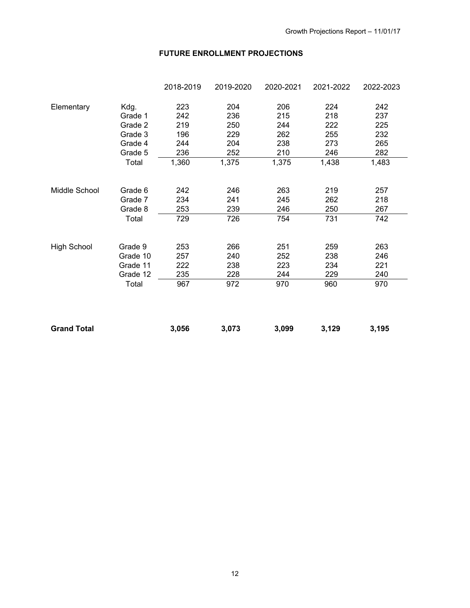## **FUTURE ENROLLMENT PROJECTIONS**

|                    |          | 2018-2019 | 2019-2020 | 2020-2021 | 2021-2022 | 2022-2023 |
|--------------------|----------|-----------|-----------|-----------|-----------|-----------|
| Elementary         | Kdg.     | 223       | 204       | 206       | 224       | 242       |
|                    | Grade 1  | 242       | 236       | 215       | 218       | 237       |
|                    | Grade 2  | 219       | 250       | 244       | 222       | 225       |
|                    | Grade 3  | 196       | 229       | 262       | 255       | 232       |
|                    | Grade 4  | 244       | 204       | 238       | 273       | 265       |
|                    | Grade 5  | 236       | 252       | 210       | 246       | 282       |
|                    | Total    | 1,360     | 1,375     | 1,375     | 1,438     | 1,483     |
| Middle School      | Grade 6  | 242       | 246       | 263       | 219       | 257       |
|                    | Grade 7  | 234       | 241       | 245       | 262       | 218       |
|                    | Grade 8  | 253       | 239       | 246       | 250       | 267       |
|                    | Total    | 729       | 726       | 754       | 731       | 742       |
| <b>High School</b> | Grade 9  | 253       | 266       | 251       | 259       | 263       |
|                    | Grade 10 | 257       | 240       | 252       | 238       | 246       |
|                    | Grade 11 | 222       | 238       | 223       | 234       | 221       |
|                    | Grade 12 | 235       | 228       | 244       | 229       | 240       |
|                    | Total    | 967       | 972       | 970       | 960       | 970       |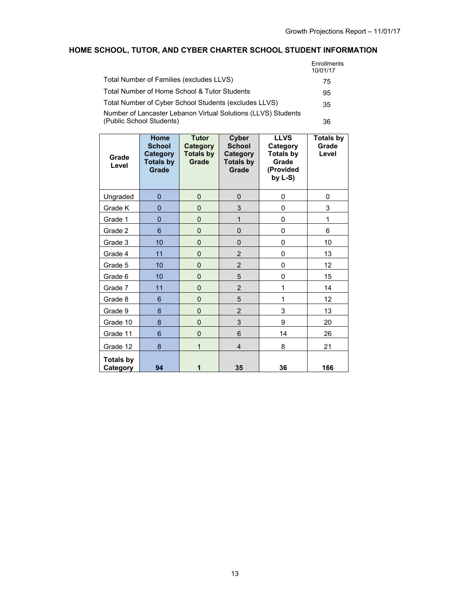# **HOME SCHOOL, TUTOR, AND CYBER CHARTER SCHOOL STUDENT INFORMATION**

|                                                                                           | <b>Enrollments</b><br>10/01/17 |
|-------------------------------------------------------------------------------------------|--------------------------------|
| Total Number of Families (excludes LLVS)                                                  | 75                             |
| Total Number of Home School & Tutor Students                                              | 95                             |
| Total Number of Cyber School Students (excludes LLVS)                                     | 35                             |
| Number of Lancaster Lebanon Virtual Solutions (LLVS) Students<br>(Public School Students) | 36                             |

| Grade<br>Level               | Home<br><b>School</b><br><b>Category</b><br><b>Totals by</b><br><b>Grade</b> | <b>Tutor</b><br>Category<br><b>Totals by</b><br>Grade | Cyber<br><b>School</b><br>Category<br><b>Totals by</b><br>Grade | <b>LLVS</b><br>Category<br><b>Totals by</b><br>Grade<br>(Provided<br>by $L-S$ ) | <b>Totals by</b><br>Grade<br>Level |
|------------------------------|------------------------------------------------------------------------------|-------------------------------------------------------|-----------------------------------------------------------------|---------------------------------------------------------------------------------|------------------------------------|
| Ungraded                     | $\overline{0}$                                                               | $\overline{0}$                                        | $\overline{0}$                                                  | 0                                                                               | 0                                  |
| Grade K                      | 0                                                                            | $\overline{0}$                                        | 3                                                               | 0                                                                               | 3                                  |
| Grade 1                      | 0                                                                            | $\mathbf{0}$                                          | 1                                                               | 0                                                                               | 1                                  |
| Grade 2                      | 6                                                                            | $\mathbf{0}$                                          | $\overline{0}$                                                  | 0                                                                               | 6                                  |
| Grade 3                      | 10                                                                           | $\overline{0}$                                        | $\overline{0}$                                                  | 0                                                                               | 10                                 |
| Grade 4                      | 11                                                                           | $\overline{0}$                                        | $\overline{c}$                                                  | 0                                                                               | 13                                 |
| Grade 5                      | 10                                                                           | $\overline{0}$                                        | $\overline{c}$                                                  | 0                                                                               | 12                                 |
| Grade 6                      | 10                                                                           | 0                                                     | 5                                                               | 0                                                                               | 15                                 |
| Grade 7                      | 11                                                                           | $\overline{0}$                                        | $\overline{2}$                                                  | 1                                                                               | 14                                 |
| Grade 8                      | 6                                                                            | 0                                                     | 5                                                               | 1                                                                               | 12                                 |
| Grade 9                      | 8                                                                            | $\overline{0}$                                        | $\overline{2}$                                                  | 3                                                                               | 13                                 |
| Grade 10                     | 8                                                                            | 0                                                     | 3                                                               | 9                                                                               | 20                                 |
| Grade 11                     | 6                                                                            | $\overline{0}$                                        | 6                                                               | 14                                                                              | 26                                 |
| Grade 12                     | 8                                                                            | 1                                                     | $\overline{4}$                                                  | 8                                                                               | 21                                 |
| <b>Totals by</b><br>Category | 94                                                                           | 1                                                     | 35                                                              | 36                                                                              | 166                                |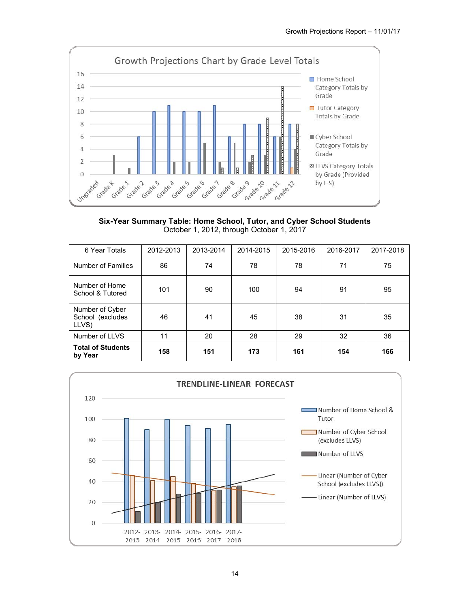

**Six-Year Summary Table: Home School, Tutor, and Cyber School Students**  October 1, 2012, through October 1, 2017

| 6 Year Totals                                | 2012-2013 | 2013-2014 | 2014-2015 | 2015-2016 | 2016-2017 | 2017-2018 |
|----------------------------------------------|-----------|-----------|-----------|-----------|-----------|-----------|
| Number of Families                           | 86        | 74        | 78        | 78        | 71        | 75        |
| Number of Home<br>School & Tutored           | 101       | 90        | 100       | 94        | 91        | 95        |
| Number of Cyber<br>School (excludes<br>LLVS) | 46        | 41        | 45        | 38        | 31        | 35        |
| Number of LLVS                               | 11        | 20        | 28        | 29        | 32        | 36        |
| <b>Total of Students</b><br>by Year          | 158       | 151       | 173       | 161       | 154       | 166       |

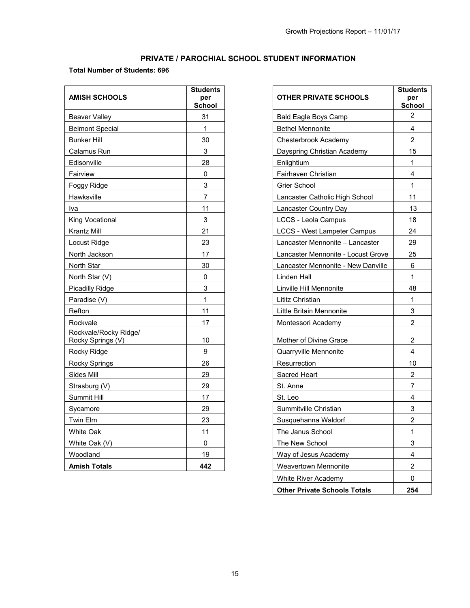# **PRIVATE / PAROCHIAL SCHOOL STUDENT INFORMATION**

## **Total Number of Students: 696**

| <b>AMISH SCHOOLS</b>                       | <b>Students</b><br>per<br><b>School</b> | <b>OTHER PRIVATE SCHOOLS</b>       | <b>Studer</b><br>per<br>Scho |
|--------------------------------------------|-----------------------------------------|------------------------------------|------------------------------|
| <b>Beaver Valley</b>                       | 31                                      | <b>Bald Eagle Boys Camp</b>        | $\overline{2}$               |
| <b>Belmont Special</b>                     | $\mathbf 1$                             | <b>Bethel Mennonite</b>            | $\overline{4}$               |
| <b>Bunker Hill</b>                         | 30                                      | Chesterbrook Academy               | $\overline{2}$               |
| Calamus Run                                | 3                                       | Dayspring Christian Academy        | 15                           |
| Edisonville                                | 28                                      | Enlightium                         | $\mathbf{1}$                 |
| Fairview                                   | 0                                       | Fairhaven Christian                | $\overline{4}$               |
| Foggy Ridge                                | 3                                       | Grier School                       | $\mathbf{1}$                 |
| Hawksville                                 | $\overline{7}$                          | Lancaster Catholic High School     | 11                           |
| Iva                                        | 11                                      | Lancaster Country Day              | 13                           |
| King Vocational                            | 3                                       | LCCS - Leola Campus                | 18                           |
| Krantz Mill                                | 21                                      | <b>LCCS - West Lampeter Campus</b> | 24                           |
| Locust Ridge                               | 23                                      | Lancaster Mennonite - Lancaster    | 29                           |
| North Jackson                              | 17                                      | Lancaster Mennonite - Locust Grove | 25                           |
| North Star                                 | 30                                      | Lancaster Mennonite - New Danville | 6                            |
| North Star (V)                             | 0                                       | Linden Hall                        | $\mathbf{1}$                 |
| Picadilly Ridge                            | 3                                       | Linville Hill Mennonite            | 48                           |
| Paradise (V)                               | $\mathbf{1}$                            | Lititz Christian                   | $\mathbf{1}$                 |
| Refton                                     | 11                                      | Little Britain Mennonite           | 3                            |
| Rockvale                                   | 17                                      | Montessori Academy                 | $\overline{a}$               |
| Rockvale/Rocky Ridge/<br>Rocky Springs (V) | 10                                      | Mother of Divine Grace             | $\overline{2}$               |
| Rocky Ridge                                | 9                                       | Quarryville Mennonite              | 4                            |
| <b>Rocky Springs</b>                       | 26                                      | Resurrection                       | 10                           |
| Sides Mill                                 | 29                                      | Sacred Heart                       | $\overline{2}$               |
| Strasburg (V)                              | 29                                      | St. Anne                           | $\overline{7}$               |
| Summit Hill                                | 17                                      | St. Leo                            | $\overline{4}$               |
| Sycamore                                   | 29                                      | Summitville Christian              | 3                            |
| <b>Twin Elm</b>                            | 23                                      | Susquehanna Waldorf                | $\overline{a}$               |
| White Oak                                  | 11                                      | The Janus School                   | 1                            |
| White Oak (V)                              | $\mathbf{0}$                            | The New School                     | 3                            |
| Woodland                                   | 19                                      | Way of Jesus Academy               | $\overline{4}$               |
| <b>Amish Totals</b>                        | 442                                     | <b>Weavertown Mennonite</b>        | $\overline{a}$               |

| <b>OTHER PRIVATE SCHOOLS</b>        | <b>Students</b><br>per |
|-------------------------------------|------------------------|
|                                     | School                 |
| <b>Bald Eagle Boys Camp</b>         | 2                      |
| <b>Bethel Mennonite</b>             | 4                      |
| Chesterbrook Academy                | $\overline{2}$         |
| Dayspring Christian Academy         | 15                     |
| Enlightium                          | 1                      |
| Fairhaven Christian                 | 4                      |
| Grier School                        | 1                      |
| Lancaster Catholic High School      | 11                     |
| Lancaster Country Day               | 13                     |
| <b>LCCS - Leola Campus</b>          | 18                     |
| <b>LCCS - West Lampeter Campus</b>  | 24                     |
| Lancaster Mennonite - Lancaster     | 29                     |
| Lancaster Mennonite - Locust Grove  | 25                     |
| Lancaster Mennonite - New Danville  | 6                      |
| Linden Hall                         | 1                      |
| Linville Hill Mennonite             | 48                     |
| Lititz Christian                    | 1                      |
| Little Britain Mennonite            | 3                      |
| Montessori Academy                  | 2                      |
| Mother of Divine Grace              | 2                      |
| Quarryville Mennonite               | 4                      |
| Resurrection                        | 10                     |
| <b>Sacred Heart</b>                 | 2                      |
| St. Anne                            | 7                      |
| St. Leo                             | 4                      |
| Summitville Christian               | 3                      |
| Susquehanna Waldorf                 | 2                      |
| The Janus School                    | 1                      |
| The New School                      | 3                      |
| Way of Jesus Academy                | 4                      |
| <b>Weavertown Mennonite</b>         | 2                      |
| <b>White River Academy</b>          | 0                      |
| <b>Other Private Schools Totals</b> | 254                    |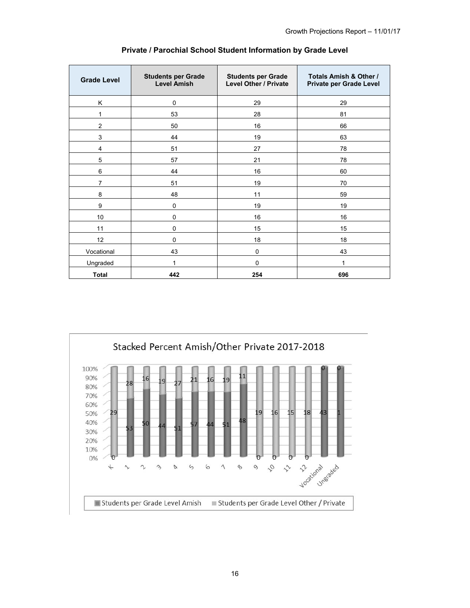| <b>Grade Level</b>      | <b>Students per Grade</b><br><b>Level Amish</b> | <b>Students per Grade</b><br><b>Level Other / Private</b> | Totals Amish & Other /<br>Private per Grade Level |
|-------------------------|-------------------------------------------------|-----------------------------------------------------------|---------------------------------------------------|
| Κ                       | 0                                               | 29                                                        | 29                                                |
| 1                       | 53                                              | 28                                                        | 81                                                |
| $\overline{2}$          | 50                                              | 16                                                        | 66                                                |
| 3                       | 44                                              | 19                                                        | 63                                                |
| $\overline{\mathbf{4}}$ | 51                                              | 27                                                        | 78                                                |
| 5                       | 57                                              | 21                                                        | 78                                                |
| $\,6\,$                 | 44                                              | 16                                                        | 60                                                |
| $\overline{7}$          | 51                                              | 19                                                        | 70                                                |
| 8                       | 48                                              | 11                                                        | 59                                                |
| 9                       | $\pmb{0}$                                       | 19                                                        | 19                                                |
| 10                      | $\mathbf 0$                                     | 16                                                        | 16                                                |
| 11                      | $\mathbf 0$                                     | 15                                                        | 15                                                |
| 12                      | $\mathbf 0$                                     | 18                                                        | 18                                                |
| Vocational              | 43                                              | 0                                                         | 43                                                |
| Ungraded                | 1                                               | $\mathbf 0$                                               | 1                                                 |
| <b>Total</b>            | 442                                             | 254                                                       | 696                                               |

## **Private / Parochial School Student Information by Grade Level**

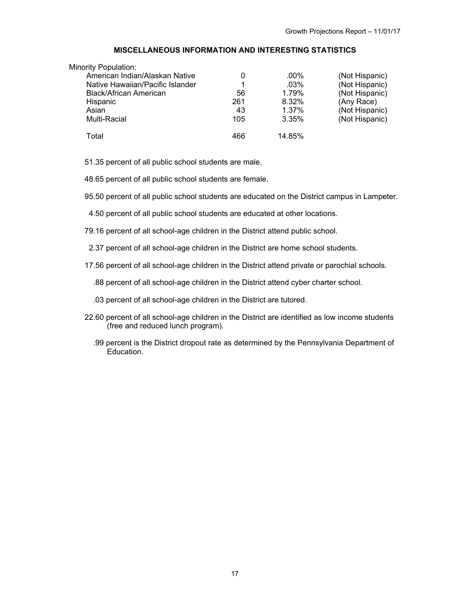## **MISCELLANEOUS INFORMATION AND INTERESTING STATISTICS**

| <b>Minority Population:</b>      |     |         |                |
|----------------------------------|-----|---------|----------------|
| American Indian/Alaskan Native   | 0   | .00%    | (Not Hispanic) |
| Native Hawaiian/Pacific Islander |     | $.03\%$ | (Not Hispanic) |
| Black/African American           | 56  | 1.79%   | (Not Hispanic) |
| Hispanic                         | 261 | 8.32%   | (Any Race)     |
| Asian                            | 43  | 1.37%   | (Not Hispanic) |
| Multi-Racial                     | 105 | 3.35%   | (Not Hispanic) |
| Total                            | 466 | 14.85%  |                |

51.35 percent of all public school students are male.

48.65 percent of all public school students are female.

95.50 percent of all public school students are educated on the District campus in Lampeter.

4.50 percent of all public school students are educated at other locations.

79.16 percent of all school-age children in the District attend public school.

2.37 percent of all school-age children in the District are home school students.

17.56 percent of all school-age children in the District attend private or parochial schools.

.88 percent of all school-age children in the District attend cyber charter school.

.03 percent of all school-age children in the District are tutored.

- 22.60 percent of all school-age children in the District are identified as low income students (free and reduced lunch program).
	- .99 percent is the District dropout rate as determined by the Pennsylvania Department of Education.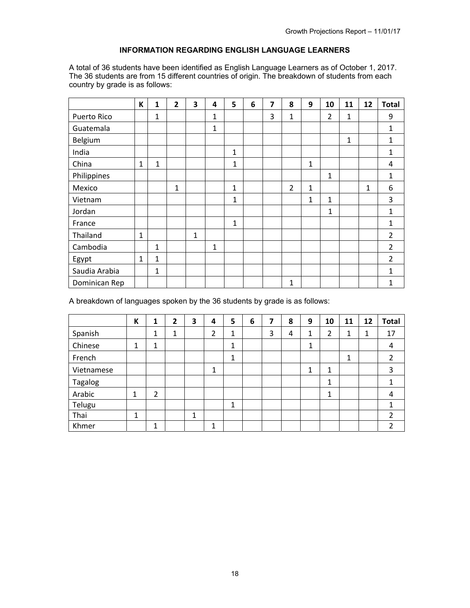## **INFORMATION REGARDING ENGLISH LANGUAGE LEARNERS**

A total of 36 students have been identified as English Language Learners as of October 1, 2017. The 36 students are from 15 different countries of origin. The breakdown of students from each country by grade is as follows:

|               | К            | 1            | $\overline{2}$ | 3 | 4            | 5            | 6 | 7 | 8              | 9            | 10             | 11 | 12 | <b>Total</b>   |
|---------------|--------------|--------------|----------------|---|--------------|--------------|---|---|----------------|--------------|----------------|----|----|----------------|
| Puerto Rico   |              | 1            |                |   | 1            |              |   | 3 | 1              |              | $\overline{2}$ | 1  |    | 9              |
| Guatemala     |              |              |                |   | $\mathbf{1}$ |              |   |   |                |              |                |    |    | $\mathbf{1}$   |
| Belgium       |              |              |                |   |              |              |   |   |                |              |                | 1  |    | 1              |
| India         |              |              |                |   |              | $\mathbf{1}$ |   |   |                |              |                |    |    | $\mathbf{1}$   |
| China         | $\mathbf{1}$ | $\mathbf{1}$ |                |   |              | $\mathbf{1}$ |   |   |                | $\mathbf 1$  |                |    |    | 4              |
| Philippines   |              |              |                |   |              |              |   |   |                |              | $\mathbf{1}$   |    |    | $\mathbf{1}$   |
| Mexico        |              |              | $\mathbf{1}$   |   |              | $\mathbf{1}$ |   |   | $\overline{2}$ | $\mathbf{1}$ |                |    | 1  | 6              |
| Vietnam       |              |              |                |   |              | $\mathbf{1}$ |   |   |                | $\mathbf{1}$ | 1              |    |    | 3              |
| Jordan        |              |              |                |   |              |              |   |   |                |              | 1              |    |    | $\mathbf{1}$   |
| France        |              |              |                |   |              | $\mathbf{1}$ |   |   |                |              |                |    |    | 1              |
| Thailand      | $\mathbf{1}$ |              |                | 1 |              |              |   |   |                |              |                |    |    | $\overline{2}$ |
| Cambodia      |              | $\mathbf{1}$ |                |   | $\mathbf{1}$ |              |   |   |                |              |                |    |    | $\overline{2}$ |
| Egypt         | $\mathbf{1}$ | $\mathbf{1}$ |                |   |              |              |   |   |                |              |                |    |    | $\overline{2}$ |
| Saudia Arabia |              | $\mathbf{1}$ |                |   |              |              |   |   |                |              |                |    |    | $\mathbf{1}$   |
| Dominican Rep |              |              |                |   |              |              |   |   | $\mathbf{1}$   |              |                |    |    | $\mathbf{1}$   |

A breakdown of languages spoken by the 36 students by grade is as follows:

|            | K | 1              | 2 | 3 | 4 | 5 | 6 | 7 | 8 | 9 | 10 | 11 | 12 | <b>Total</b>   |
|------------|---|----------------|---|---|---|---|---|---|---|---|----|----|----|----------------|
| Spanish    |   | 1              | 1 |   | 2 | 1 |   | 3 | 4 | 1 | 2  | 1  | 1  | 17             |
| Chinese    | 1 | 1              |   |   |   | 1 |   |   |   | 1 |    |    |    | 4              |
| French     |   |                |   |   |   | 1 |   |   |   |   |    | 1  |    | 2              |
| Vietnamese |   |                |   |   | 1 |   |   |   |   | 1 | 1  |    |    | 3              |
| Tagalog    |   |                |   |   |   |   |   |   |   |   | 1  |    |    | 1              |
| Arabic     | 1 | $\overline{2}$ |   |   |   |   |   |   |   |   | 1  |    |    | 4              |
| Telugu     |   |                |   |   |   | 1 |   |   |   |   |    |    |    | 1              |
| Thai       | 1 |                |   | 1 |   |   |   |   |   |   |    |    |    | $\overline{2}$ |
| Khmer      |   | 1              |   |   | 1 |   |   |   |   |   |    |    |    | $\overline{2}$ |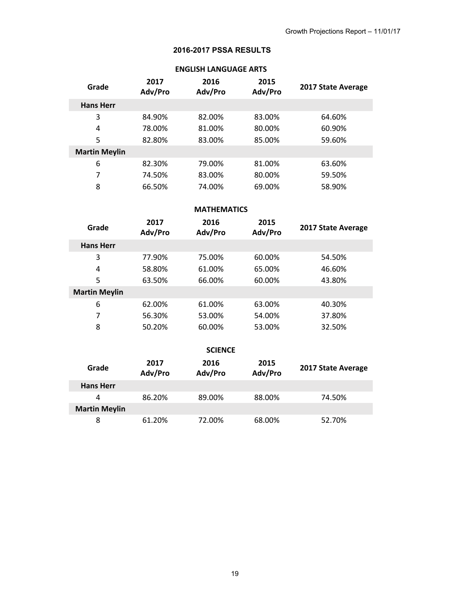## **2016-2017 PSSA RESULTS**

| Grade                | 2017<br>Adv/Pro | 2016<br>Adv/Pro | 2015<br>Adv/Pro | 2017 State Average |
|----------------------|-----------------|-----------------|-----------------|--------------------|
| <b>Hans Herr</b>     |                 |                 |                 |                    |
| 3                    | 84.90%          | 82.00%          | 83.00%          | 64.60%             |
| 4                    | 78.00%          | 81.00%          | 80.00%          | 60.90%             |
| 5                    | 82.80%          | 83.00%          | 85.00%          | 59.60%             |
| <b>Martin Meylin</b> |                 |                 |                 |                    |
| 6                    | 82.30%          | 79.00%          | 81.00%          | 63.60%             |
| 7                    | 74.50%          | 83.00%          | 80.00%          | 59.50%             |
| 8                    | 66.50%          | 74.00%          | 69.00%          | 58.90%             |

# **ENGLISH LANGUAGE ARTS**

## **MATHEMATICS**

| Grade                | 2017<br>Adv/Pro | 2016<br>Adv/Pro | 2015<br>Adv/Pro | 2017 State Average |
|----------------------|-----------------|-----------------|-----------------|--------------------|
| <b>Hans Herr</b>     |                 |                 |                 |                    |
| 3                    | 77.90%          | 75.00%          | 60.00%          | 54.50%             |
| 4                    | 58.80%          | 61.00%          | 65.00%          | 46.60%             |
| 5                    | 63.50%          | 66.00%          | 60.00%          | 43.80%             |
| <b>Martin Meylin</b> |                 |                 |                 |                    |
| 6                    | 62.00%          | 61.00%          | 63.00%          | 40.30%             |
| 7                    | 56.30%          | 53.00%          | 54.00%          | 37.80%             |
| 8                    | 50.20%          | 60.00%          | 53.00%          | 32.50%             |
|                      |                 |                 |                 |                    |
|                      |                 | <b>SCIENCE</b>  |                 |                    |
| Grade                | 2017<br>Adv/Pro | 2016<br>Adv/Pro | 2015<br>Adv/Pro | 2017 State Average |
| <b>Hans Herr</b>     |                 |                 |                 |                    |

| Grade            | Adv/Pro | Adv/Pro | Adv/Pro | 2017 State Avera |
|------------------|---------|---------|---------|------------------|
| <b>Hans Herr</b> |         |         |         |                  |
| Δ                | 86.20%  | 89.00%  | 88.00%  | 74.50%           |
| Martin Meylin    |         |         |         |                  |
|                  | 61.20%  | 72.00%  | 68.00%  | 52.70%           |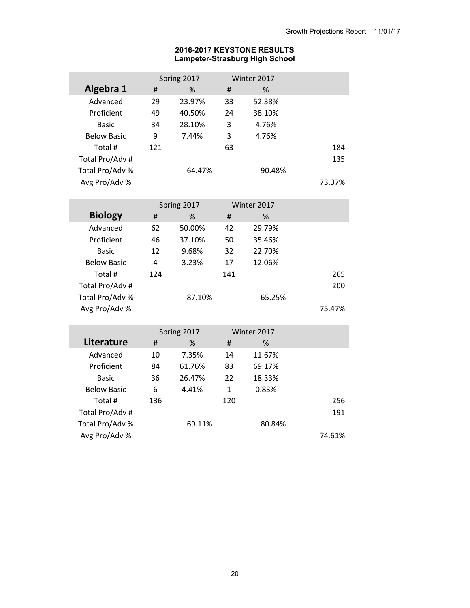## **2016-2017 KEYSTONE RESULTS Lampeter-Strasburg High School**

|                    |     | Spring 2017 |    | Winter 2017 |        |
|--------------------|-----|-------------|----|-------------|--------|
| Algebra 1          | #   | %           | Ħ  | %           |        |
| Advanced           | 29  | 23.97%      | 33 | 52.38%      |        |
| Proficient         | 49  | 40.50%      | 24 | 38.10%      |        |
| <b>Basic</b>       | 34  | 28.10%      | 3  | 4.76%       |        |
| <b>Below Basic</b> | 9   | 7.44%       | 3  | 4.76%       |        |
| Total #            | 121 |             | 63 |             | 184    |
| Total Pro/Adv #    |     |             |    |             | 135    |
| Total Pro/Adv %    |     | 64.47%      |    | 90.48%      |        |
| Avg Pro/Adv %      |     |             |    |             | 73.37% |

I

|                    |     | Spring 2017 |     | Winter 2017 |        |
|--------------------|-----|-------------|-----|-------------|--------|
| <b>Biology</b>     | #   | %           | Ħ   | %           |        |
| Advanced           | 62  | 50.00%      | 42  | 29.79%      |        |
| Proficient         | 46  | 37.10%      | 50  | 35.46%      |        |
| <b>Basic</b>       | 12  | 9.68%       | 32  | 22.70%      |        |
| <b>Below Basic</b> | 4   | 3.23%       | 17  | 12.06%      |        |
| Total #            | 124 |             | 141 |             | 265    |
| Total Pro/Adv #    |     |             |     |             | 200    |
| Total Pro/Adv %    |     | 87.10%      |     | 65.25%      |        |
| Avg Pro/Adv %      |     |             |     |             | 75.47% |

|                    |     | Spring 2017 |     | Winter 2017 |        |
|--------------------|-----|-------------|-----|-------------|--------|
| Literature         | #   | %           | #   | %           |        |
| Advanced           | 10  | 7.35%       | 14  | 11.67%      |        |
| Proficient         | 84  | 61.76%      | 83  | 69.17%      |        |
| <b>Basic</b>       | 36  | 26.47%      | 22  | 18.33%      |        |
| <b>Below Basic</b> | 6   | 4.41%       | 1   | 0.83%       |        |
| Total #            | 136 |             | 120 |             | 256    |
| Total Pro/Adv #    |     |             |     |             | 191    |
| Total Pro/Adv %    |     | 69.11%      |     | 80.84%      |        |
| Avg Pro/Adv %      |     |             |     |             | 74.61% |